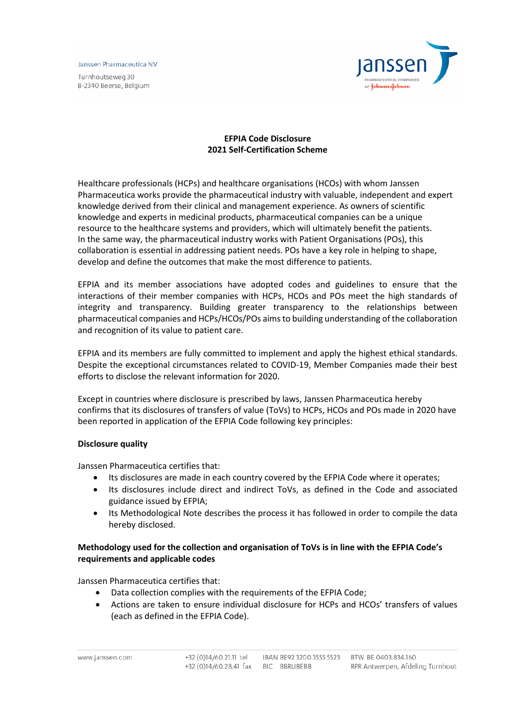Janssen Pharmaceutica NV

Turnhoutseweg 30 B-2340 Beerse, Belgium



# **EFPIA Code Disclosure 2021 Self-Certification Scheme**

Healthcare professionals (HCPs) and healthcare organisations (HCOs) with whom Janssen Pharmaceutica works provide the pharmaceutical industry with valuable, independent and expert knowledge derived from their clinical and management experience. As owners of scientific knowledge and experts in medicinal products, pharmaceutical companies can be a unique resource to the healthcare systems and providers, which will ultimately benefit the patients. In the same way, the pharmaceutical industry works with Patient Organisations (POs), this collaboration is essential in addressing patient needs. POs have a key role in helping to shape, develop and define the outcomes that make the most difference to patients.

EFPIA and its member associations have adopted codes and guidelines to ensure that the interactions of their member companies with HCPs, HCOs and POs meet the high standards of integrity and transparency. Building greater transparency to the relationships between pharmaceutical companies and HCPs/HCOs/POs aims to building understanding of the collaboration and recognition of its value to patient care.

EFPIA and its members are fully committed to implement and apply the highest ethical standards. Despite the exceptional circumstances related to COVID-19, Member Companies made their best efforts to disclose the relevant information for 2020.

Except in countries where disclosure is prescribed by laws, Janssen Pharmaceutica hereby confirms that its disclosures of transfers of value (ToVs) to HCPs, HCOs and POs made in 2020 have been reported in application of the EFPIA Code following key principles:

### **Disclosure quality**

Janssen Pharmaceutica certifies that:

- Its disclosures are made in each country covered by the EFPIA Code where it operates;
- Its disclosures include direct and indirect ToVs, as defined in the Code and associated guidance issued by EFPIA;
- Its Methodological Note describes the process it has followed in order to compile the data hereby disclosed.

## **Methodology used for the collection and organisation of ToVs is in line with the EFPIA Code's requirements and applicable codes**

Janssen Pharmaceutica certifies that:

- Data collection complies with the requirements of the EFPIA Code;
- Actions are taken to ensure individual disclosure for HCPs and HCOs' transfers of values (each as defined in the EFPIA Code).